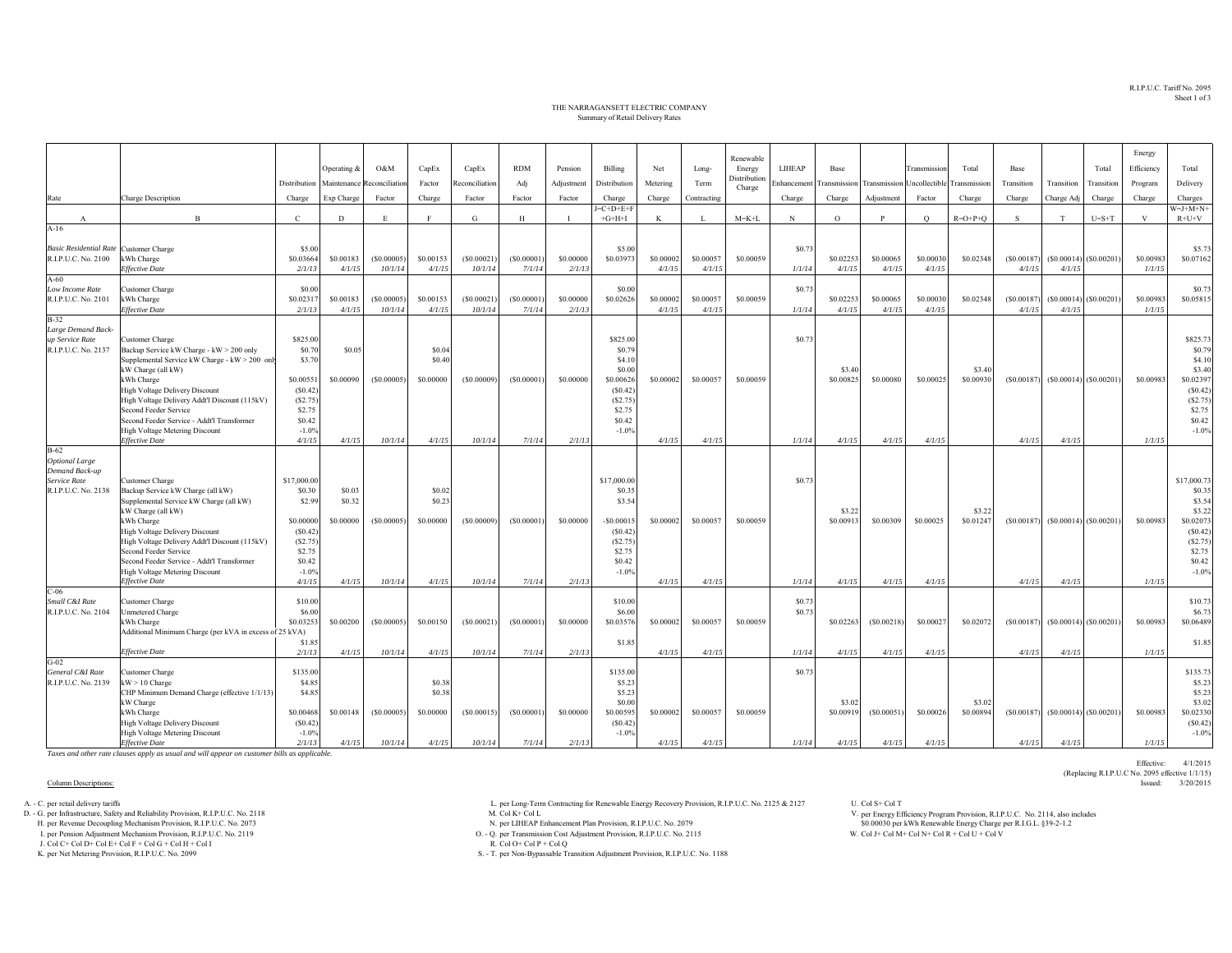R.I.P.U.C. Tariff No. 2095Sheet 1 of 3

## THE NARRAGANSETT ELECTRIC COMPANY Summary of Retail Delivery Rates

|                                               |                                                                                 |                      |                     |                            |                     |                       |                      |                     |                      |                     |                     |                     |        |                                                                  |                     |                     |                 |                      |                      |                           | Energy              |                      |
|-----------------------------------------------|---------------------------------------------------------------------------------|----------------------|---------------------|----------------------------|---------------------|-----------------------|----------------------|---------------------|----------------------|---------------------|---------------------|---------------------|--------|------------------------------------------------------------------|---------------------|---------------------|-----------------|----------------------|----------------------|---------------------------|---------------------|----------------------|
|                                               |                                                                                 |                      | Operating &         | O&M                        | CapEx               | CapEx                 | <b>RDM</b>           | Pension             | Billing              | Net                 | Long-               | Renewable<br>Energy | LIHEAP | Base                                                             |                     | Transmission        | Total           | Base                 |                      | Total                     | Efficiency          | Total                |
|                                               |                                                                                 | Distribution         |                     | Maintenance Reconciliation | Factor              | Reconciliation        | Adj                  | Adjustment          | Distribution         | Metering            | Term                | Distribution        |        | Enhancement Transmission Transmission Uncollectible Transmission |                     |                     |                 | Transition           | Transition           | Transition                | Program             | Delivery             |
| Rate                                          | <b>Charge Description</b>                                                       | Charge               | Exp Charge          | Factor                     | Charge              | Factor                | Factor               | Factor              | Charge               | Charge              | Contracting         | Charge              | Charge | Charge                                                           | Adjustment          | Factor              | Charge          | Charge               | Charge Adj           | Charge                    | Charge              | Charges              |
|                                               |                                                                                 |                      |                     |                            |                     |                       |                      |                     | $E = C + D + E + F$  |                     |                     |                     |        |                                                                  |                     |                     |                 |                      |                      |                           |                     | $W=J+M+N+$           |
| $\Lambda$<br>$A-16$                           | $\mathbf{B}$                                                                    | $\mathbf{C}$         | D                   | E                          | $\mathbf{F}$        | G                     | H                    |                     | $+G+H+I$             | K                   | $\mathbf{L}$        | $M = K + L$         | N      | $\circ$                                                          | $\mathbf{P}$        | $\circ$             | $R = O + P + O$ | S.                   | T                    | $U=S+T$                   | $\mathbf{V}$        | $R+U+V$              |
|                                               |                                                                                 |                      |                     |                            |                     |                       |                      |                     |                      |                     |                     |                     |        |                                                                  |                     |                     |                 |                      |                      |                           |                     |                      |
| <b>Basic Residential Rate</b> Customer Charge |                                                                                 | \$5.00               |                     |                            |                     |                       |                      |                     | \$5.00               |                     |                     |                     | \$0.73 |                                                                  |                     |                     |                 |                      |                      |                           |                     | \$5.73               |
| R.I.P.U.C. No. 2100                           | kWh Charge<br><b>Effective Date</b>                                             | \$0.03664<br>2/1/13  | \$0.00183<br>4/1/15 | (S0.00005)<br>10/1/14      | \$0.00153<br>4/1/15 | (S0.00021)<br>10/1/14 | (\$0.00001<br>7/1/14 | \$0.00000<br>2/1/13 | \$0.03973            | \$0.00002<br>4/1/15 | \$0,00057<br>4/1/15 | \$0.00059           | 1/1/14 | \$0.02253<br>4/1/15                                              | \$0.00065<br>4/1/15 | \$0,00030<br>4/1/15 | \$0.02348       | (S0.00187)<br>4/1/15 | 4/1/15               | $(S0.00014)$ (\$0.00201)  | \$0.00983<br>1/1/15 | \$0.07162            |
| $A-60$                                        |                                                                                 |                      |                     |                            |                     |                       |                      |                     |                      |                     |                     |                     |        |                                                                  |                     |                     |                 |                      |                      |                           |                     |                      |
| Low Income Rate                               | Customer Charge                                                                 | \$0.00               |                     |                            |                     |                       |                      |                     | \$0.00               |                     |                     |                     | \$0.73 |                                                                  |                     |                     |                 |                      |                      |                           |                     | \$0.73               |
| R.I.P.U.C. No. 2101                           | kWh Charge<br><b>Effective Date</b>                                             | \$0.0231<br>2/1/13   | \$0.00183<br>4/1/15 | (S0.00005)<br>10/1/14      | \$0.00153<br>4/1/15 | (S0.00021)<br>10/1/14 | (S0.00001)<br>7/1/14 | \$0.00000<br>2/1/13 | \$0.02626            | \$0,00002<br>4/1/15 | \$0.00057<br>4/1/15 | \$0,00059           | 1/1/14 | \$0.02253<br>4/1/15                                              | \$0.00065<br>4/1/15 | \$0,00030<br>4/1/15 | \$0.02348       | (S0.00187)<br>4/1/15 | (S0.00014)<br>4/1/15 | (S0.00201)                | \$0.00983<br>1/1/15 | \$0.05815            |
| $B-32$                                        |                                                                                 |                      |                     |                            |                     |                       |                      |                     |                      |                     |                     |                     |        |                                                                  |                     |                     |                 |                      |                      |                           |                     |                      |
| Large Demand Back-                            |                                                                                 |                      |                     |                            |                     |                       |                      |                     |                      |                     |                     |                     |        |                                                                  |                     |                     |                 |                      |                      |                           |                     |                      |
| up Service Rate<br>R.I.P.U.C. No. 2137        | Customer Charge<br>Backup Service kW Charge - kW > 200 only                     | \$825.00<br>\$0.70   | \$0.05              |                            | \$0.04              |                       |                      |                     | \$825.00<br>\$0.79   |                     |                     |                     | \$0.73 |                                                                  |                     |                     |                 |                      |                      |                           |                     | \$825.73<br>\$0.79   |
|                                               | Supplemental Service kW Charge - kW > 200 only                                  | \$3.70               |                     |                            | \$0.40              |                       |                      |                     | \$4.10               |                     |                     |                     |        |                                                                  |                     |                     |                 |                      |                      |                           |                     | \$4.10               |
|                                               | kW Charge (all kW)                                                              |                      |                     |                            |                     |                       |                      |                     | \$0.00               |                     |                     |                     |        | \$3.40                                                           |                     |                     | \$3.40          |                      |                      |                           |                     | \$3.40               |
|                                               | kWh Charge                                                                      | \$0.00551<br>(S0.42) | \$0.00090           | (S0.00005)                 | \$0.00000           | (S0.00009)            | (S0.00001)           | \$0.00000           | \$0.00626<br>(S0.42) | \$0.00002           | \$0,00057           | \$0.00059           |        | \$0.0082                                                         | \$0.00080           | \$0,00025           | \$0.00930       | (S0.00187)           |                      | $(S0.00014)$ (\$0.00201)  | \$0.00983           | \$0.02397<br>(S0.42) |
|                                               | High Voltage Delivery Discount<br>High Voltage Delivery Addt'l Discount (115kV) | (S2.75)              |                     |                            |                     |                       |                      |                     | (S2.75)              |                     |                     |                     |        |                                                                  |                     |                     |                 |                      |                      |                           |                     | (S2.75)              |
|                                               | Second Feeder Service                                                           | \$2.75               |                     |                            |                     |                       |                      |                     | \$2.75               |                     |                     |                     |        |                                                                  |                     |                     |                 |                      |                      |                           |                     | \$2.75               |
|                                               | Second Feeder Service - Addt'l Transformer                                      | \$0.42<br>$-1.0%$    |                     |                            |                     |                       |                      |                     | \$0.42<br>$-1.0%$    |                     |                     |                     |        |                                                                  |                     |                     |                 |                      |                      |                           |                     | \$0.42<br>$-1.0%$    |
|                                               | High Voltage Metering Discount<br><b>Effective Date</b>                         | 4/1/15               | 4/1/15              | 10/1/14                    | 4/1/15              | 10/1/14               | 7/1/14               | 2/1/13              |                      | 4/1/15              | 4/1/15              |                     | 1/1/14 | 4/1/15                                                           | 4/1/15              | 4/1/15              |                 | 4/1/15               | 4/1/15               |                           | 1/1/15              |                      |
| $B-62$                                        |                                                                                 |                      |                     |                            |                     |                       |                      |                     |                      |                     |                     |                     |        |                                                                  |                     |                     |                 |                      |                      |                           |                     |                      |
| <b>Optional Large</b>                         |                                                                                 |                      |                     |                            |                     |                       |                      |                     |                      |                     |                     |                     |        |                                                                  |                     |                     |                 |                      |                      |                           |                     |                      |
| Demand Back-up<br>Service Rate                | Customer Charge                                                                 | \$17,000.00          |                     |                            |                     |                       |                      |                     | \$17,000.00          |                     |                     |                     | \$0.73 |                                                                  |                     |                     |                 |                      |                      |                           |                     | \$17,000.73          |
| R.I.P.U.C. No. 2138                           | Backup Service kW Charge (all kW)                                               | \$0.30               | \$0.03              |                            | \$0.02              |                       |                      |                     | \$0.35               |                     |                     |                     |        |                                                                  |                     |                     |                 |                      |                      |                           |                     | \$0.35               |
|                                               | Supplemental Service kW Charge (all kW)                                         | \$2.99               | \$0.32              |                            | \$0.23              |                       |                      |                     | \$3.54               |                     |                     |                     |        | \$3.22                                                           |                     |                     | \$3.22          |                      |                      |                           |                     | \$3.54<br>\$3.22     |
|                                               | kW Charge (all kW)<br>kWh Charge                                                | \$0,00000            | \$0.00000           | (S0.00005)                 | \$0,00000           | (S0.00009)            | (S0.00001)           | \$0,00000           | $-$0.00015$          | \$0.00002           | \$0,00057           | \$0,00059           |        | \$0,00913                                                        | \$0.00309           | \$0.00025           | \$0.01247       | (S0.00187)           |                      | $(S0.00014)$ $(S0.00201)$ | \$0,00983           | \$0.02073            |
|                                               | High Voltage Delivery Discount                                                  | (S0.42)              |                     |                            |                     |                       |                      |                     | (S0.42)              |                     |                     |                     |        |                                                                  |                     |                     |                 |                      |                      |                           |                     | (S0.42)              |
|                                               | High Voltage Delivery Addt'l Discount (115kV)                                   | (S2.75)              |                     |                            |                     |                       |                      |                     | (S2.75)<br>\$2.75    |                     |                     |                     |        |                                                                  |                     |                     |                 |                      |                      |                           |                     | (S2.75)<br>\$2.75    |
|                                               | Second Feeder Service<br>Second Feeder Service - Addt'l Transformer             | \$2.75<br>\$0.42     |                     |                            |                     |                       |                      |                     | \$0.42               |                     |                     |                     |        |                                                                  |                     |                     |                 |                      |                      |                           |                     | \$0.42               |
|                                               | High Voltage Metering Discount                                                  | $-1.0%$              |                     |                            |                     |                       |                      |                     | $-1.0%$              |                     |                     |                     |        |                                                                  |                     |                     |                 |                      |                      |                           |                     | $-1.0%$              |
|                                               | <b>Effective Date</b>                                                           | 4/1/15               | 4/1/15              | 10/1/14                    | 4/1/15              | 10/1/14               | 7/1/14               | 2/1/13              |                      | 4/1/15              | 4/1/15              |                     | 1/1/14 | 4/1/15                                                           | 4/1/15              | 4/1/15              |                 | 4/1/15               | 4/1/15               |                           | 1/1/15              |                      |
| $C-06$<br>Small C&I Rate                      | Customer Charge                                                                 | \$10.00              |                     |                            |                     |                       |                      |                     | \$10.00              |                     |                     |                     | \$0.73 |                                                                  |                     |                     |                 |                      |                      |                           |                     | \$10.73              |
| R.I.P.U.C. No. 2104                           | <b>Unmetered Charge</b>                                                         | \$6.00               |                     |                            |                     |                       |                      |                     | \$6.00               |                     |                     |                     | \$0.73 |                                                                  |                     |                     |                 |                      |                      |                           |                     | \$6.73               |
|                                               | kWh Charge                                                                      | \$0.03253            | \$0.00200           | (S0.00005)                 | \$0.00150           | (S0.00021)            | (S0.00001)           | \$0,00000           | \$0.03576            | \$0,00002           | \$0,00057           | \$0.00059           |        | \$0.02263                                                        | (S0.00218)          | \$0,0002            | \$0.02072       | (S0.00187)           |                      | $(S0.00014)$ $(S0.00201)$ | \$0.00983           | \$0.06489            |
|                                               | Additional Minimum Charge (per kVA in excess of 25 kVA)                         | \$1.85               |                     |                            |                     |                       |                      |                     | \$1.85               |                     |                     |                     |        |                                                                  |                     |                     |                 |                      |                      |                           |                     | \$1.85               |
|                                               | <b>Effective Date</b>                                                           | 2/1/13               | 4/1/15              | 10/1/14                    | 4/1/15              | 10/1/14               | 7/1/14               | 2/1/13              |                      | 4/1/15              | 4/1/15              |                     | 1/1/14 | 4/1/15                                                           | 4/1/15              | 4/1/15              |                 | 4/1/15               | 4/1/15               |                           | 1/1/15              |                      |
| $G-02$<br>General C&I Rate                    |                                                                                 |                      |                     |                            |                     |                       |                      |                     | \$135.00             |                     |                     |                     | \$0.73 |                                                                  |                     |                     |                 |                      |                      |                           |                     | \$135.73             |
| R.I.P.U.C. No. 2139                           | Customer Charge<br>$kW > 10$ Charge                                             | \$135.00<br>\$4.85   |                     |                            | \$0.38              |                       |                      |                     | \$5.23               |                     |                     |                     |        |                                                                  |                     |                     |                 |                      |                      |                           |                     | \$5.23               |
|                                               | CHP Minimum Demand Charge (effective 1/1/13)                                    | \$4.85               |                     |                            | \$0.38              |                       |                      |                     | \$5.23               |                     |                     |                     |        |                                                                  |                     |                     |                 |                      |                      |                           |                     | \$5.23               |
|                                               | kW Charge                                                                       |                      |                     |                            |                     |                       |                      |                     | \$0.00               |                     |                     |                     |        | \$3.02                                                           |                     |                     | \$3.02          |                      |                      |                           |                     | \$3.02               |
|                                               | kWh Charge<br>High Voltage Delivery Discount                                    | \$0.00468<br>(S0.42) | \$0.00148           | (S0.00005)                 | \$0,00000           | (S0.00015)            | (S0.00001)           | \$0,00000           | \$0.00595<br>(S0.42) | \$0.00002           | \$0,00057           | \$0,00059           |        | \$0,00919                                                        | (S0.00051)          | \$0.00026           | \$0.00894       | (S0.00187)           |                      | $(S0.00014)$ $(S0.00201)$ | \$0.00983           | \$0.02330<br>(S0.42) |
|                                               | High Voltage Metering Discount                                                  | $-1.0%$              |                     |                            |                     |                       |                      |                     | $-1.0%$              |                     |                     |                     |        |                                                                  |                     |                     |                 |                      |                      |                           |                     | $-1.0\%$             |
|                                               | <b>Effective Date</b>                                                           | 2/1/13               | 4/1/15              | 10/1/14                    | 4/1/15              | 10/1/14               | 7/1/14               | 2/1/13              |                      | 4/1/15              | 4/1/15              |                     | 1/1/14 | 4/1/15                                                           | 4/1/15              | 4/1/15              |                 | 4/1/15               | 4/1/15               |                           | 1/1/15              |                      |

*Taxes and other rate clauses apply as usual and will appear on customer bills as applicable.*

## Column Descriptions: Issued: 3/20/2015

I. per Pension Adjustment Mechanism Provision, R.I.P.U.C. No. 2119 O. - Q. per Transmission Cost Adjustment Provision, R.I.P.U.C. No. 2115 W. Col J+ Col N+ Col N+ Col N+ Col N+ Col U + Col V + Col V + Col V + Col V + Col V

J. Col C+ Col D+ Col E+ Col F + Col G + Col H + Col I

A. - C. per retail delivery tariffs Col T U. Col S+ Col T Col S+ Col T Col S+ Col T Col S+ Col T Col S+ Col T Col S+ Col T Col S+ Col T Col S+ Col T Col S+ Col T Col S+ Col T Col S+ Col T Col S+ Col T Col S+ Col T Col S+ C

D. - G. per Infrastructure, Safety and Reliability Provision, R.I.P.U.C. No. 2118<br>H. per Revenue Decoupling Mechanism Provision, R.I.P.U.C. No. 2073 [17] W. Per LIHEAP Enhancement Plan Provision, R.I.P.U.C. No. 2079

K. per Net Metering Provision, R.I.P.U.C. No. 2099 S. - T. per Non-Bypassable Transition Adjustment Provision, R.I.P.U.C. No. 1188

per Energy Efficiency Program Provision, R.I.P.U.C. No. 2114, also includes \$0.00030 per kWh Renewable Energy Charge per R.I.G.L. §39-2-1.2

Effective: 4/1/2015(Replacing R.I.P.U.C No. 2095 effective 1/1/15)